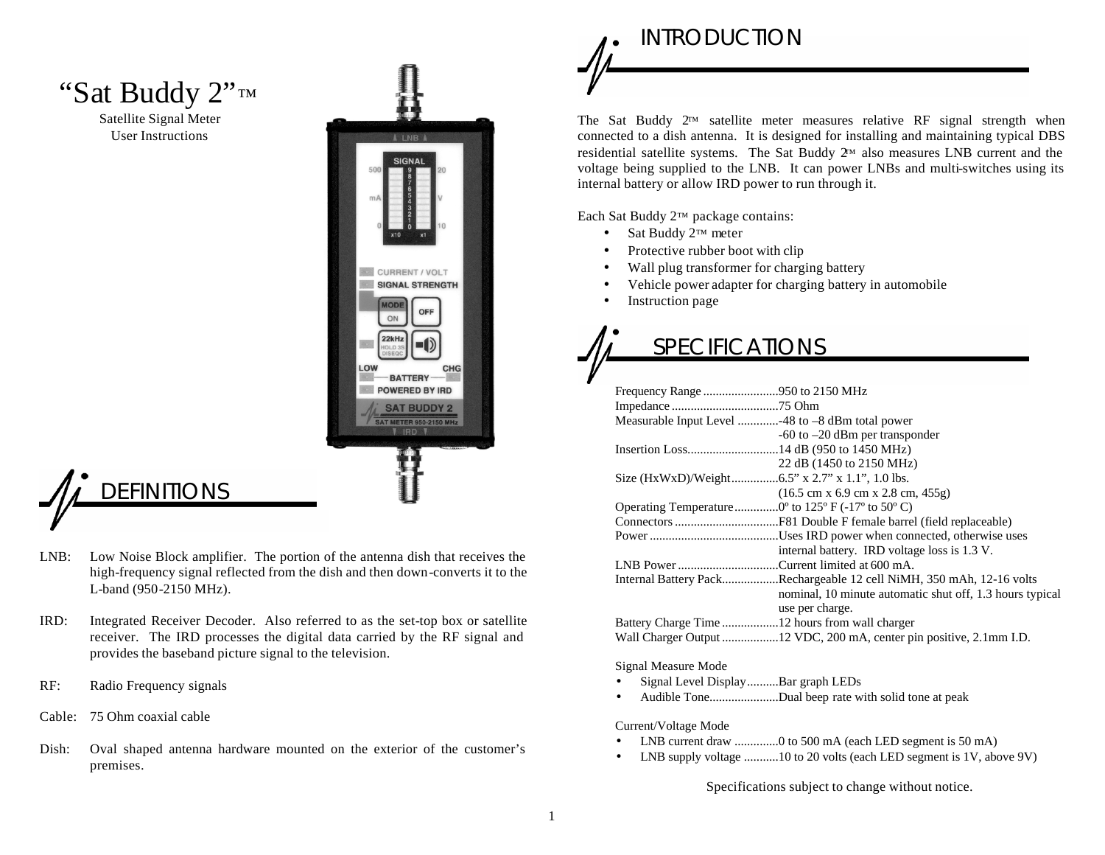## "Sat Buddy 2"™

Satellite Signal Meter User Instructions



# **DEFINITIONS**

- LNB: Low Noise Block amplifier. The portion of the antenna dish that receives the high-frequency signal reflected from the dish and then down-converts it to the L-band (950-2150 MHz).
- IRD: Integrated Receiver Decoder. Also referred to as the set-top box or satellite receiver. The IRD processes the digital data carried by the RF signal and provides the baseband picture signal to the television.
- RF: Radio Frequency signals
- Cable: 75 Ohm coaxial cable
- Dish: Oval shaped antenna hardware mounted on the exterior of the customer's premises.

## INTRODUCTION

The Sat Buddy 2™ satellite meter measures relative RF signal strength when connected to a dish antenna. It is designed for installing and maintaining typical DBS residential satellite systems. The Sat Buddy 2™ also measures LNB current and the voltage being supplied to the LNB. It can power LNBs and multi-switches using its internal battery or allow IRD power to run through it.

Each Sat Buddy 2™ package contains:

- Sat Buddy 2™ meter
- Protective rubber boot with clip
- Wall plug transformer for charging battery
- Vehicle power adapter for charging battery in automobile
- Instruction page

# **SPECIFICATIONS**

| Measurable Input Level 48 to -8 dBm total power                                |
|--------------------------------------------------------------------------------|
| $-60$ to $-20$ dBm per transponder                                             |
|                                                                                |
| 22 dB (1450 to 2150 MHz)                                                       |
|                                                                                |
| $(16.5 \text{ cm} \times 6.9 \text{ cm} \times 2.8 \text{ cm}, 455 \text{ g})$ |
| Operating Temperature 0° to 125° F (-17° to 50° C)                             |
|                                                                                |
|                                                                                |
| internal battery. IRD voltage loss is 1.3 V.                                   |
| LNB Power Current limited at 600 mA.                                           |
| Internal Battery PackRechargeable 12 cell NiMH, 350 mAh, 12-16 volts           |
| nominal, 10 minute automatic shut off, 1.3 hours typical                       |
| use per charge.                                                                |
|                                                                                |
|                                                                                |

Signal Measure Mode

- Signal Level Display..........Bar graph LEDs
- Audible Tone......................Dual beep rate with solid tone at peak

Current/Voltage Mode

- LNB current draw ...............0 to 500 mA (each LED segment is 50 mA)
- LNB supply voltage ...........10 to 20 volts (each LED segment is 1V, above 9V)

Specifications subject to change without notice.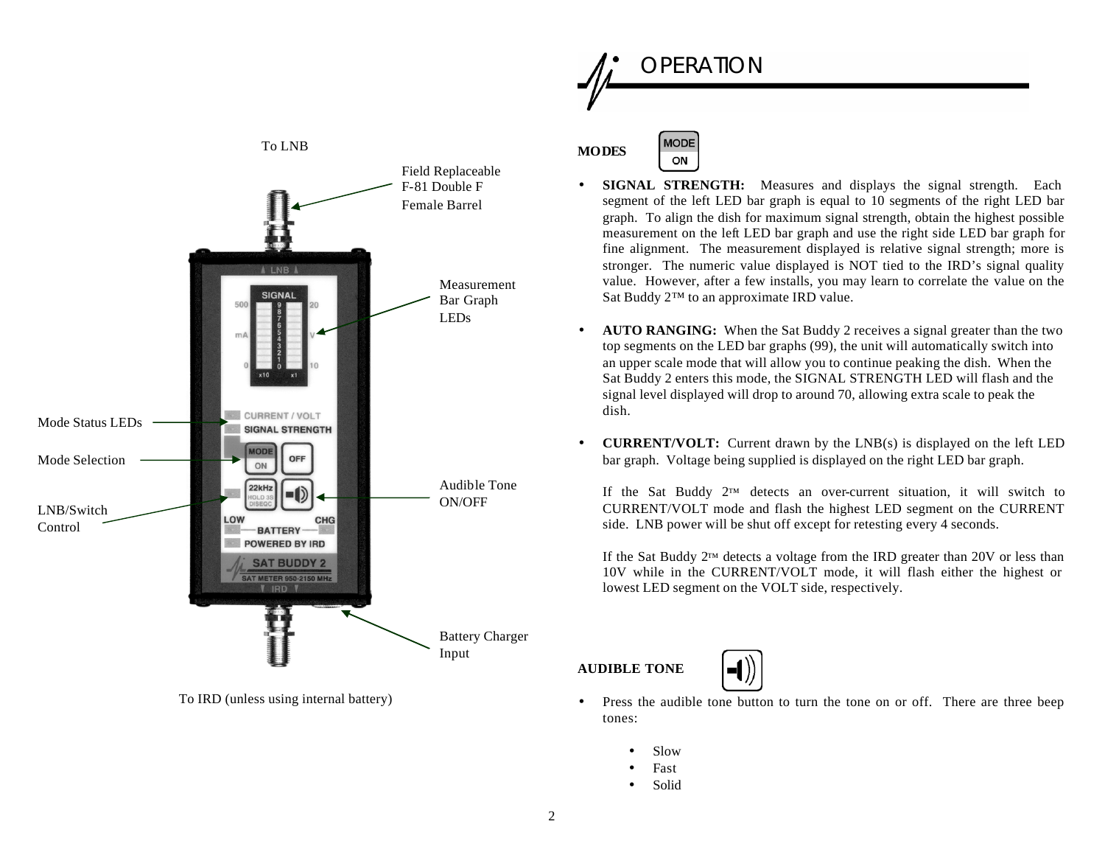

To IRD (unless using internal battery)



- **SIGNAL STRENGTH:** Measures and displays the signal strength. Each segment of the left LED bar graph is equal to 10 segments of the right LED bar graph. To align the dish for maximum signal strength, obtain the highest possible measurement on the left LED bar graph and use the right side LED bar graph for fine alignment. The measurement displayed is relative signal strength; more is stronger. The numeric value displayed is NOT tied to the IRD's signal quality value. However, after a few installs, you may learn to correlate the value on the Sat Buddy 2™ to an approximate IRD value.
- **AUTO RANGING:** When the Sat Buddy 2 receives a signal greater than the two top segments on the LED bar graphs (99), the unit will automatically switch into an upper scale mode that will allow you to continue peaking the dish. When the Sat Buddy 2 enters this mode, the SIGNAL STRENGTH LED will flash and the signal level displayed will drop to around 70, allowing extra scale to peak the dish.
- **CURRENT/VOLT:** Current drawn by the LNB(s) is displayed on the left LED bar graph. Voltage being supplied is displayed on the right LED bar graph.

If the Sat Buddy  $2^{\text{TM}}$  detects an over-current situation, it will switch to CURRENT/VOLT mode and flash the highest LED segment on the CURRENT side. LNB power will be shut off except for retesting every 4 seconds.

If the Sat Buddy 2™ detects a voltage from the IRD greater than 20V or less than 10V while in the CURRENT/VOLT mode, it will flash either the highest or lowest LED segment on the VOLT side, respectively.

### **AUDIBLE TONE**



- Press the audible tone button to turn the tone on or off. There are three beep tones:
	- Slow
	- **Fast**
	- Solid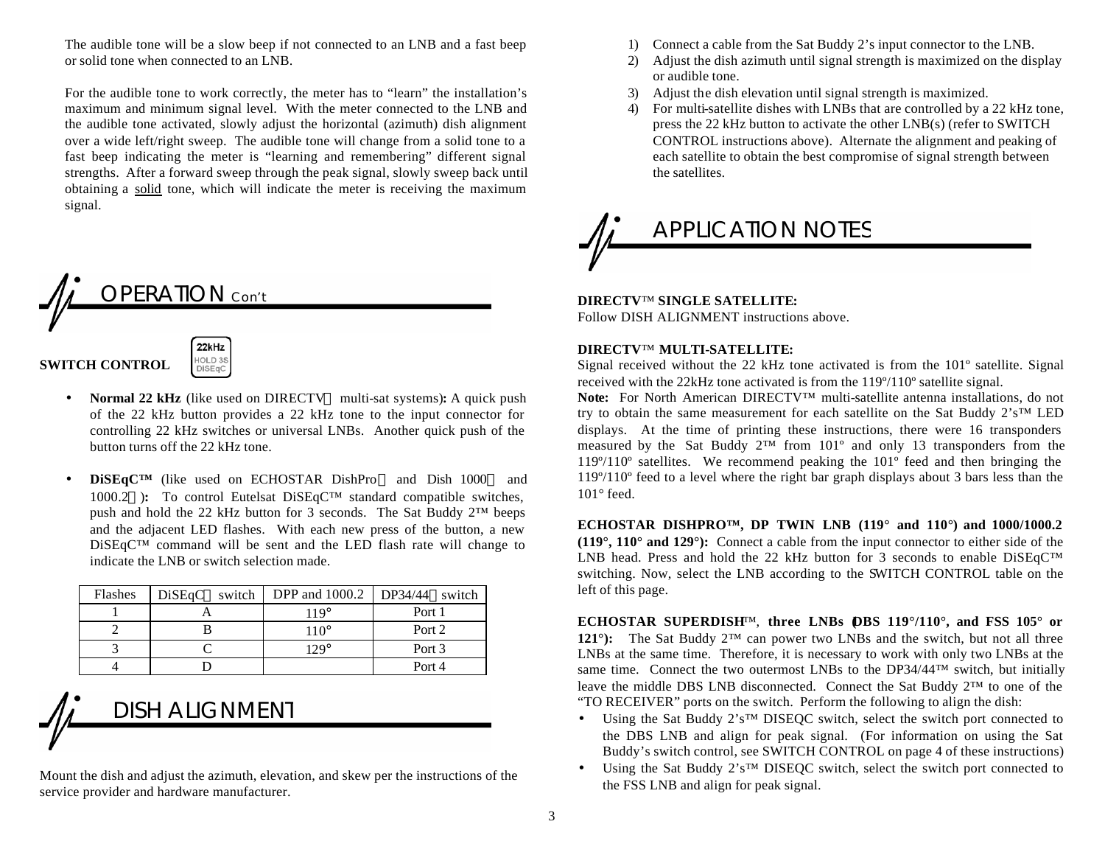The audible tone will be a slow beep if not connected to an LNB and a fast beep or solid tone when connected to an LNB.

For the audible tone to work correctly, the meter has to "learn" the installation's maximum and minimum signal level. With the meter connected to the LNB and the audible tone activated, slowly adjust the horizontal (azimuth) dish alignment over a wide left/right sweep. The audible tone will change from a solid tone to a fast beep indicating the meter is "learning and remembering" different signal strengths. After a forward sweep through the peak signal, slowly sweep back until obtaining a solid tone, which will indicate the meter is receiving the maximum signal.

## OPERATION Con't 22kHz

HOLD 3S<br>DiSEqC

### **SWITCH CONTROL**

- **Normal 22 kHz** (like used on DIRECTV<sup>™</sup> multi-sat systems): A quick push of the 22 kHz button provides a 22 kHz tone to the input connector for controlling 22 kHz switches or universal LNBs. Another quick push of the button turns off the 22 kHz tone.
- **DiSEqC™** (like used on ECHOSTAR DishPro™ and Dish 1000™ and 1000.2™): To control Eutelsat DiSEqC<sup>™</sup> standard compatible switches, push and hold the 22 kHz button for 3 seconds. The Sat Buddy 2™ beeps and the adjacent LED flashes. With each new press of the button, a new DiSEqC™ command will be sent and the LED flash rate will change to indicate the LNB or switch selection made.

| Flashes | DiSEaC <sup>TM</sup> switch | <b>DPP</b> and 1000.2 | $DP34/44^{TM}$ switch |
|---------|-----------------------------|-----------------------|-----------------------|
|         |                             | $119^\circ$           | Port 1                |
|         |                             | $110^\circ$           | Port 2                |
|         |                             | $129^\circ$           | Port 3                |
|         |                             |                       | Port 4                |

## DISH ALIGNMENT

Mount the dish and adjust the azimuth, elevation, and skew per the instructions of the service provider and hardware manufacturer.

- 1) Connect a cable from the Sat Buddy 2's input connector to the LNB.
- 2) Adjust the dish azimuth until signal strength is maximized on the display or audible tone.
- 3) Adjust the dish elevation until signal strength is maximized.
- 4) For multi-satellite dishes with LNBs that are controlled by a 22 kHz tone, press the 22 kHz button to activate the other LNB(s) (refer to SWITCH CONTROL instructions above). Alternate the alignment and peaking of each satellite to obtain the best compromise of signal strength between the satellites.

# APPLICATION NOTES

#### **DIRECTV**™ **SINGLE SATELLITE:**

Follow DISH ALIGNMENT instructions above.

#### **DIRECTV**™ **MULTI-SATELLITE:**

Signal received without the 22 kHz tone activated is from the 101º satellite. Signal received with the 22kHz tone activated is from the 119º/110º satellite signal.

**Note:** For North American DIRECTV™ multi-satellite antenna installations, do not try to obtain the same measurement for each satellite on the Sat Buddy 2's™ LED displays. At the time of printing these instructions, there were 16 transponders measured by the Sat Buddy  $2^{TM}$  from 101<sup>°</sup> and only 13 transponders from the 119º/110º satellites. We recommend peaking the 101º feed and then bringing the 119º/110º feed to a level where the right bar graph displays about 3 bars less than the 101° feed.

**ECHOSTAR DISHPRO™, DP TWIN LNB (119° and 110°) and 1000/1000.2 (119°, 110° and 129°):** Connect a cable from the input connector to either side of the LNB head. Press and hold the 22 kHz button for 3 seconds to enable  $\text{DiSeqC}^{TM}$ switching. Now, select the LNB according to the SWITCH CONTROL table on the left of this page.

**ECHOSTAR SUPERDISH**™, **three LNBs (DBS 119°/110°, and FSS 105° or 121°):** The Sat Buddy  $2^{TM}$  can power two LNBs and the switch, but not all three LNBs at the same time. Therefore, it is necessary to work with only two LNBs at the same time. Connect the two outermost LNBs to the  $DP34/44^{TM}$  switch, but initially leave the middle DBS LNB disconnected. Connect the Sat Buddy 2™ to one of the "TO RECEIVER" ports on the switch. Perform the following to align the dish:

- Using the Sat Buddy  $2^sS^{TM}$  DISEQC switch, select the switch port connected to the DBS LNB and align for peak signal. (For information on using the Sat Buddy's switch control, see SWITCH CONTROL on page 4 of these instructions)
- Using the Sat Buddy 2's<sup>™</sup> DISEQC switch, select the switch port connected to the FSS LNB and align for peak signal.